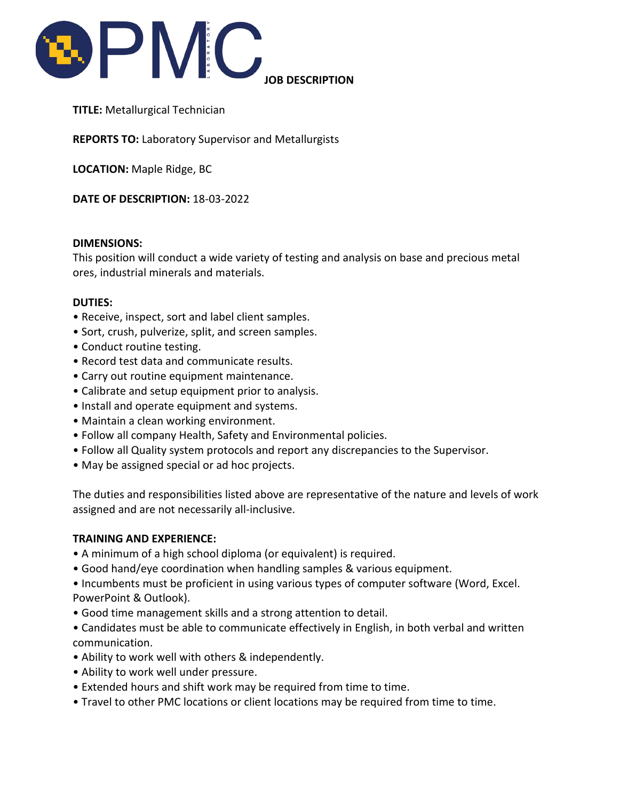

**TITLE:** Metallurgical Technician

**REPORTS TO:** Laboratory Supervisor and Metallurgists

**LOCATION:** Maple Ridge, BC

**DATE OF DESCRIPTION:** 18-03-2022

## **DIMENSIONS:**

This position will conduct a wide variety of testing and analysis on base and precious metal ores, industrial minerals and materials.

## **DUTIES:**

- Receive, inspect, sort and label client samples.
- Sort, crush, pulverize, split, and screen samples.
- Conduct routine testing.
- Record test data and communicate results.
- Carry out routine equipment maintenance.
- Calibrate and setup equipment prior to analysis.
- Install and operate equipment and systems.
- Maintain a clean working environment.
- Follow all company Health, Safety and Environmental policies.
- Follow all Quality system protocols and report any discrepancies to the Supervisor.
- May be assigned special or ad hoc projects.

The duties and responsibilities listed above are representative of the nature and levels of work assigned and are not necessarily all-inclusive.

## **TRAINING AND EXPERIENCE:**

- A minimum of a high school diploma (or equivalent) is required.
- Good hand/eye coordination when handling samples & various equipment.
- Incumbents must be proficient in using various types of computer software (Word, Excel. PowerPoint & Outlook).
- Good time management skills and a strong attention to detail.
- Candidates must be able to communicate effectively in English, in both verbal and written communication.
- Ability to work well with others & independently.
- Ability to work well under pressure.
- Extended hours and shift work may be required from time to time.
- Travel to other PMC locations or client locations may be required from time to time.